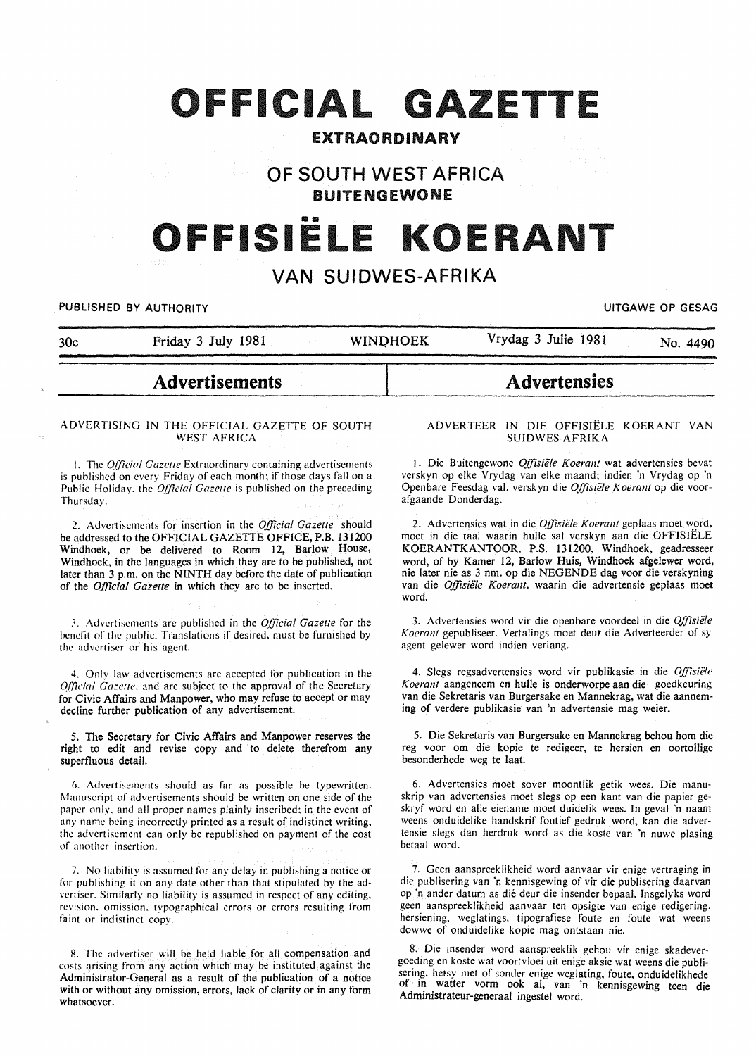## OFFICIAL GAZETTE

### EXTRAORDINARY

### OF SOUTH WEST AFRICA BUITENGEWONE

# OFFISIELE KOERANT

### VAN SUIDWES-AFRIKA

PUBLISHED BY AUTHORITY **EXECUTE ASSESSED ASSESSED.** THE SECOND METAL CONTROL OF GESAG

|     | <b>Advertisements</b> |                 | <b>Advertensies</b> |          |
|-----|-----------------------|-----------------|---------------------|----------|
| 30c | Friday 3 July 1981    | <b>WINDHOEK</b> | Vrydag 3 Julie 1981 | No. 4490 |

#### ADVERTISING IN THE OFFICIAL GAZETTE OF SOUTH WEST AFRICA

1. The *Official Gazette* Extraordinary containing advertisements is published on every Friday of each month; if those days fall on a Public Holiday. the *Official Gazette* is published on the preceding Thursday.

2. Advertisements for insertion in the *Official Gazette* should be addressed to the OFFICIAL GAZETTE OFFICE, P.B. 131200 Windhoek, or be delivered to Room 12, Barlow House, Windhoek, in the languages in which they are to be published, not later than 3 p.m. on the NINTH day before the date of publication of the *Official Gazette* in which they are to be inserted.

J. Advertisements are published in the *Official Gazette* for the benefit of the public. Translations if desired. must be furnished by the advertiser or his agent.

4. Only law advertisements are accepted for publication in the *Q(ficial Gazelle.* and are subject to the approval of the Secretary for Civic Affairs and Manpower, who may refuse to accept or may decline further publication of any advertisement.

5. The Secretary for Civic Affairs and Manpower reserves the right to edit and revise copy and to delete therefrom any superfluous detail.

n. Advertisements should as far as possible be typewritten. Manuscript of advertisements should be written on one side of the paper only, and all proper names plainly inscribed: in the event of any name being incorrectly printed as a result of indistinct writing. the advertisement can only be republished on payment of the cost of another insertion.

7. No liability is assumed for any delay in publishing a notice or for publishing it on any date other than that stipulated by the advertiser. Similarly no liability is assumed in respect of any editing. revision. omission. typographical errors or errors resulting from faint or indistinct copy.

R. The advertiser will be held liable for all compensation and costs arising from any action which may be instituted against the Administrator-General as a result of the publication of a notice with or without any omission, errors, lack of clarity or in any form whatsoever.

#### ADVERTEER IN DIE OFFISIELE KOERANT VAN SUIDWES-AFRIKA

1. Die Buitengewone *O.ffisie/e Koerant* wat advertensies bevat verskyn op elke Vrydag van elke maand: indien 'n Vrydag op 'n Open bare Feesdag val. verskyn die *Offisiele K oerant* op die voorafgaande Donderdag.

2. Advertensies wat in die *Offisiële Koerant* geplaas moet word, moet in die taal waarin hulle sal verskyn aan die OFFISIELE KOERANTKANTOOR, P.S. 131200, Windhoek, geadresseer word, of by Kamer 12, Barlow Huis, Windhoek afgelewer word, nie later nie as 3 nm. op die NEGENDE dag voor die verskyning van die *Offisiele Koeranl,* waarin die advertensie geplaas moet word.

3. Advertensies word vir die openbare voordeel in die *Offisiele Koerant* gepubliseer. Vertalings moet deut die Adverteerder of sy agent gelewer word indien verlang.

4. Slegs regsadvertensies word vir publikasie in die *Offisiele Koeranl* aangeneem en hulle is onderworpe aan die goedkeuring van die Sekretaris van Burgersake en Mannekrag, wat die aanneming of verdere publikasie van 'n advertensie mag weier.

5. Die Sekretaris van Burgersake en Mannekrag behou hom die reg voor om die kopie te redigeer, te hersien en oortollige besonderhede weg te laat.

6. Advertensies moet sover moontlik getik wees. Die manu· skrip van advertensies moet slegs op een kant van die papier ge·· skryf word en aile eiename moet duidelik wees. In geval 'n naam weens onduidelike handskrif foutief gedruk word, kan die advertensie slegs dan herdruk word as die koste van 'n nuwe plasing betaal word.

7. Geen aanspreeklikheid word aanvaar vir enige vertraging in die publisering van 'n kennisgewing of vir die publisering daarvan op 'n ander datum as die deur die insender bepaal. Insgelyks word geen aanspreeklikheid aanvaar ten opsigte van enige redigering. hersiening. weglatings. tipografiese foute en foute wat weens dowwe of onduidelike kopie mag ontstaan nie.

8. Die insender word aanspreeklik gehou vir enige skadevergoeding en koste wat voortvloei uit enige aksie wat weens die publisering. hetsy met of sonder enige weglating, foute. onduidelikhede of in watter vorm ook al, van 'n kennisgewing teen die Administrateur-generaal ingestel word.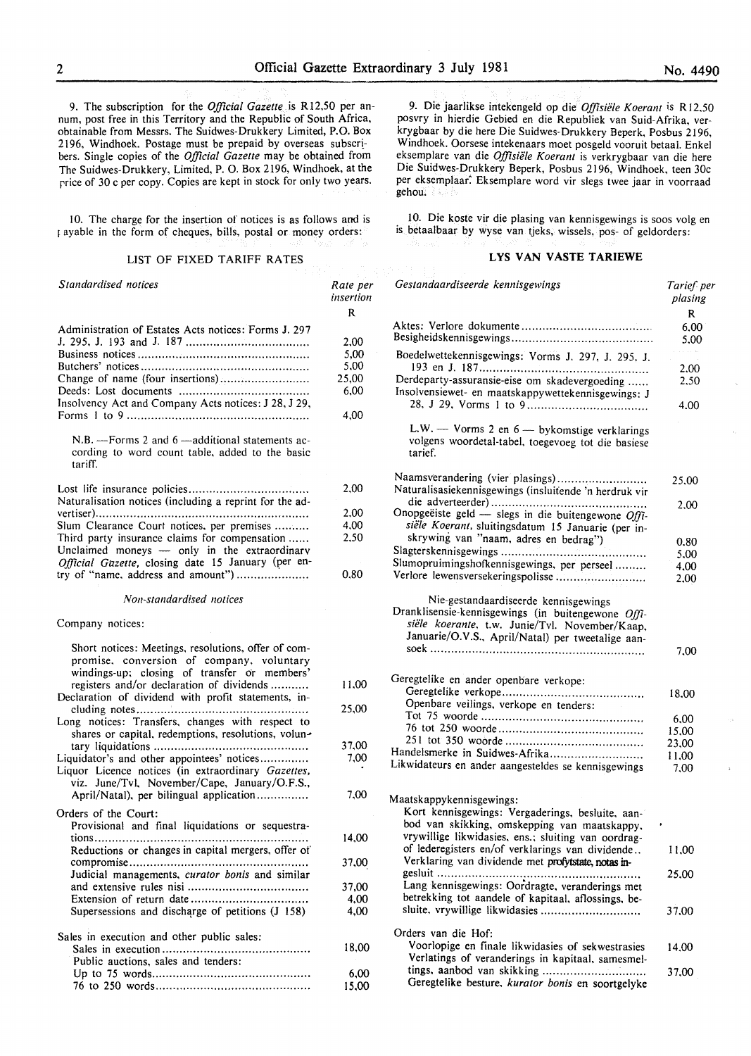9. The subscription for the *Official Gazette* is Rl2,50 per annum, post free in this Territory and the Republic of South Africa, obtainable from Messrs. The Suidwes-Drukkery Limited, P.O. Box 2196, Windhoek. Postage must be prepaid by overseas subscr! bers. Single copies of the *Official Gazette* may be obtained from The Suidwes-Drukkery, Limited, P. 0. Box 2196, Windhoek, at the rrice of 30 c per copy. Copies are kept in stock for only two years.

10. The charge for the insertion of notices is as follows and is 1 ayable in the form of cheques, bills, postal or money orders:

#### LIST OF FIXED TARIFF RATES

| Standardised notices                                                                                                                                                                          | Rate per<br>insertion |
|-----------------------------------------------------------------------------------------------------------------------------------------------------------------------------------------------|-----------------------|
|                                                                                                                                                                                               | R                     |
| Administration of Estates Acts notices: Forms J. 297                                                                                                                                          |                       |
|                                                                                                                                                                                               | 2,00                  |
|                                                                                                                                                                                               | 5,00                  |
|                                                                                                                                                                                               | 5,00                  |
| Change of name (four insertions)                                                                                                                                                              | 25,00                 |
|                                                                                                                                                                                               | 6,00                  |
| Insolvency Act and Company Acts notices: J 28, J 29,                                                                                                                                          | 4,00                  |
| N.B. - Forms 2 and 6 - additional statements ac-<br>cording to word count table, added to the basic<br>tariff.                                                                                |                       |
|                                                                                                                                                                                               |                       |
| Naturalisation notices (including a reprint for the ad-                                                                                                                                       | 2,00                  |
|                                                                                                                                                                                               | 2.00                  |
| Slum Clearance Court notices, per premises                                                                                                                                                    | 4,00                  |
| Third party insurance claims for compensation                                                                                                                                                 | 2.50                  |
| Unclaimed moneys - only in the extraordinary<br>Official Gazette, closing date 15 January (per en-                                                                                            |                       |
| try of "name, address and amount")                                                                                                                                                            | 0,80                  |
| Non-standardised notices                                                                                                                                                                      |                       |
| Company notices:                                                                                                                                                                              |                       |
| Short notices: Meetings, resolutions, offer of com-<br>promise, conversion of company, voluntary<br>windings-up; closing of transfer or members'<br>registers and/or declaration of dividends | 11,00                 |
| Declaration of dividend with profit statements, in-                                                                                                                                           |                       |
| Long notices: Transfers, changes with respect to                                                                                                                                              | 25,00                 |
| shares or capital, redemptions, resolutions, volun-                                                                                                                                           |                       |
|                                                                                                                                                                                               | 37.00                 |
| Liquidator's and other appointees' notices<br>Liquor Licence notices (in extraordinary Gazettes,                                                                                              | 7.00                  |
| viz. June/Tvl, November/Cape, January/O.F.S.,<br>April/Natal), per bilingual application                                                                                                      | 7.00                  |
| Orders of the Court:<br>Provisional and final liquidations or sequestra-                                                                                                                      |                       |
|                                                                                                                                                                                               | 14,00                 |
| Reductions or changes in capital mergers, offer of                                                                                                                                            |                       |
| Judicial managements, curator bonis and similar                                                                                                                                               | 37,00                 |
|                                                                                                                                                                                               | 37,00                 |
|                                                                                                                                                                                               | 4,00                  |
| Supersessions and discharge of petitions (J 158)                                                                                                                                              | 4,00                  |
| Sales in execution and other public sales:                                                                                                                                                    | 18,00                 |
| Public auctions, sales and tenders:                                                                                                                                                           |                       |
|                                                                                                                                                                                               | 6,00<br>15,00         |
|                                                                                                                                                                                               |                       |

9. Die jaarlikse intekengeld op die *Offisiële Koerant* is R12.50 posvry in hierdie Gebied en die Republiek van Suid-Afrika, verkrygbaar by die here Die Suidwes-Drukkery Beperk, Posbus 2196, Windhoek. Oorsese intekenaars moet posgeld vooruit betaal. Enkel eksemplare van die *Offisiele Koerant* is verkrygbaar van die here Die Suidwes-Drukkery Beperk, Posbus 2196, Windhoek, teen 30c per eksemplaar. Eksemplare word vir slegs twee jaar in voorraad gehou.

10. Die koste vir die plasing van kennisgewings is soos volg en is betaalbaar by wyse van tjeks, wissels, pos- of geldorders:

#### **LYS VAN VASTE TARIEWE**

| Gestandaardiseerde kennisgewings                                                                                                                                                                                                                                                                                                                                                                                                                                                                                                                                | Tarief per<br>plasing |
|-----------------------------------------------------------------------------------------------------------------------------------------------------------------------------------------------------------------------------------------------------------------------------------------------------------------------------------------------------------------------------------------------------------------------------------------------------------------------------------------------------------------------------------------------------------------|-----------------------|
|                                                                                                                                                                                                                                                                                                                                                                                                                                                                                                                                                                 | R                     |
|                                                                                                                                                                                                                                                                                                                                                                                                                                                                                                                                                                 | 6.00<br>5,00          |
| Boedelwettekennisgewings: Vorms J. 297, J. 295, J.                                                                                                                                                                                                                                                                                                                                                                                                                                                                                                              |                       |
|                                                                                                                                                                                                                                                                                                                                                                                                                                                                                                                                                                 | 2.00                  |
| Derdeparty-assuransie-eise om skadevergoeding<br>Insolvensiewet- en maatskappywettekennisgewings: J                                                                                                                                                                                                                                                                                                                                                                                                                                                             | 2.50                  |
|                                                                                                                                                                                                                                                                                                                                                                                                                                                                                                                                                                 | 4.00                  |
| L.W. - Vorms 2 en 6 - bykomstige verklarings<br>volgens woordetal-tabel, toegevoeg tot die basiese<br>tarief.                                                                                                                                                                                                                                                                                                                                                                                                                                                   |                       |
| Naamsverandering (vier plasings)                                                                                                                                                                                                                                                                                                                                                                                                                                                                                                                                | 25.00                 |
| Naturalisasiekennisgewings (insluitende 'n herdruk vir                                                                                                                                                                                                                                                                                                                                                                                                                                                                                                          |                       |
| Onopgeëiste geld — slegs in die buitengewone Offi-                                                                                                                                                                                                                                                                                                                                                                                                                                                                                                              | 2.00                  |
| siële Koerant, sluitingsdatum 15 Januarie (per in-<br>skrywing van "naam, adres en bedrag")                                                                                                                                                                                                                                                                                                                                                                                                                                                                     |                       |
|                                                                                                                                                                                                                                                                                                                                                                                                                                                                                                                                                                 | 0.80                  |
| Slumopruimingshofkennisgewings, per perseel                                                                                                                                                                                                                                                                                                                                                                                                                                                                                                                     | 5,00                  |
| Verlore lewensversekeringspolisse                                                                                                                                                                                                                                                                                                                                                                                                                                                                                                                               | 4,00<br>2.00          |
|                                                                                                                                                                                                                                                                                                                                                                                                                                                                                                                                                                 |                       |
| Nie-gestandaardiseerde kennisgewings<br>Dranklisensie-kennisgewings (in buitengewone Offi-<br>siële koerante, t.w. Junie/Tvl. November/Kaap,<br>Januarie/O.V.S., April/Natal) per tweetalige aan-                                                                                                                                                                                                                                                                                                                                                               |                       |
|                                                                                                                                                                                                                                                                                                                                                                                                                                                                                                                                                                 | 7,00                  |
| Geregtelike en ander openbare verkope:                                                                                                                                                                                                                                                                                                                                                                                                                                                                                                                          |                       |
|                                                                                                                                                                                                                                                                                                                                                                                                                                                                                                                                                                 | 18.00                 |
| Openbare veilings, verkope en tenders:                                                                                                                                                                                                                                                                                                                                                                                                                                                                                                                          |                       |
|                                                                                                                                                                                                                                                                                                                                                                                                                                                                                                                                                                 | 6,00                  |
|                                                                                                                                                                                                                                                                                                                                                                                                                                                                                                                                                                 | 15,00                 |
|                                                                                                                                                                                                                                                                                                                                                                                                                                                                                                                                                                 | 23,00                 |
| Handelsmerke in Suidwes-Afrika                                                                                                                                                                                                                                                                                                                                                                                                                                                                                                                                  | 11,00                 |
| Likwidateurs en ander aangesteldes se kennisgewings                                                                                                                                                                                                                                                                                                                                                                                                                                                                                                             | 7.00                  |
|                                                                                                                                                                                                                                                                                                                                                                                                                                                                                                                                                                 |                       |
|                                                                                                                                                                                                                                                                                                                                                                                                                                                                                                                                                                 |                       |
|                                                                                                                                                                                                                                                                                                                                                                                                                                                                                                                                                                 |                       |
|                                                                                                                                                                                                                                                                                                                                                                                                                                                                                                                                                                 |                       |
|                                                                                                                                                                                                                                                                                                                                                                                                                                                                                                                                                                 |                       |
|                                                                                                                                                                                                                                                                                                                                                                                                                                                                                                                                                                 |                       |
|                                                                                                                                                                                                                                                                                                                                                                                                                                                                                                                                                                 | 25,00                 |
|                                                                                                                                                                                                                                                                                                                                                                                                                                                                                                                                                                 |                       |
|                                                                                                                                                                                                                                                                                                                                                                                                                                                                                                                                                                 |                       |
|                                                                                                                                                                                                                                                                                                                                                                                                                                                                                                                                                                 | 37.00                 |
| Orders van die Hof:                                                                                                                                                                                                                                                                                                                                                                                                                                                                                                                                             |                       |
|                                                                                                                                                                                                                                                                                                                                                                                                                                                                                                                                                                 | 14.00                 |
| Verlatings of veranderings in kapitaal, samesmel-                                                                                                                                                                                                                                                                                                                                                                                                                                                                                                               |                       |
| tings, aanbod van skikking                                                                                                                                                                                                                                                                                                                                                                                                                                                                                                                                      | 37,00                 |
| Maatskappykennisgewings:<br>Kort kennisgewings: Vergaderings, besluite, aan-<br>bod van skikking, omskepping van maatskappy,<br>vrywillige likwidasies, ens.; sluiting van oordrag-<br>of lederegisters en/of verklarings van dividende<br>Verklaring van dividende met profytstate, notas in-<br>gesluit<br>Lang kennisgewings: Oordragte, veranderings met<br>betrekking tot aandele of kapitaal, aflossings, be-<br>sluite, vrywillige likwidasies<br>Voorlopige en finale likwidasies of sekwestrasies<br>Geregtelike besture, kurator bonis en soortgelyke | 11,00                 |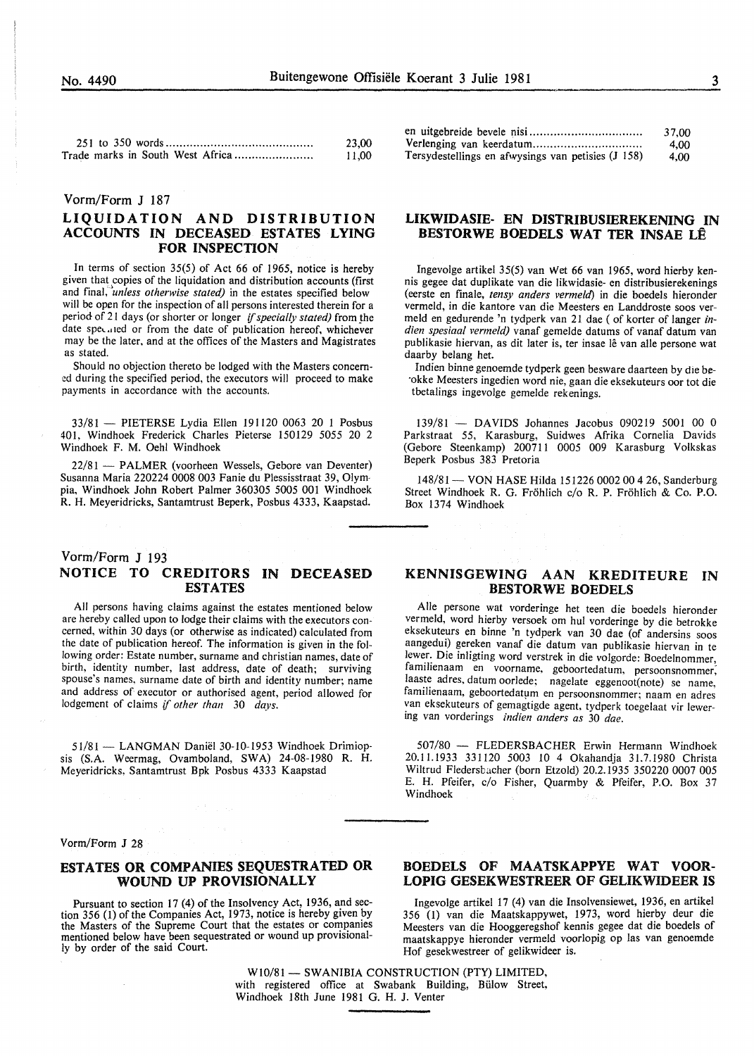| 23.00 |
|-------|
| 11.00 |

#### Vorrn/Form J 187

#### LIQUIDATION AND DISTRIBUTION ACCOUNTS IN DECEASED ESTATES LYING FOR INSPECTION

In terms of section 35(5) of Act 66 of 1965, notice is hereby given that copies of the liquidation and distribution accounts (first and final, *'unless otherwise stated)* in the estates specified below will be open for the inspection of all persons interested therein for a period of 21 days (or shorter or longer *if specially stated)* from the date specified or from the date of publication hereof, whichever may be the later, and at the offices of the Masters and Magistrates as stated.

Should no objection thereto be lodged with the Masters concern ed during the specified period, the executors will proceed to make payments in accordance with the accounts.

33/81 - PIETERSE Lydia Ellen 191120 0063 20 1 Posbus 401. Windhoek Frederick Charles Pieterse 150129 *5055* 20 2 Windhoek F. M. Oehl Windhoek

22/81 - PALMER (voorheen Wessels, Gebore van Deventer) Susanna Maria 220224 0008 003 Fanie du Plessisstraat 39, Olympia, Windhoek John Robert Palmer 360305 *5005* 001 Windhoek R. H. Meyeridricks, Santamtrust Beperk, Posbus 4333, Kaapstad.

#### Vorm/Form J 193 NOTICE TO CREDITORS IN DECEASED ESTATES

All persons having claims against the estates mentioned below are hereby called upon to lodge their claims with the executors concerned, within 30 days (or otherwise as indicated) calculated from the date of publication hereof. The information is given in the following order: Estate number, surname and christian names, date of birth, identity number, last address, date of death; surviving spouse's names. surname date of birth and identity number; name and address of executor or authorised agent, period allowed for lodgement of claims if *other than* 30 *days.* 

51/81 - LANGMAN Daniël 30-10-1953 Windhoek Drimiopsis (S.A. Weermag, Ovamboland, SWA) 24-08-1980 R. H. Meyeridricks, Santamtrust Bpk Posbus 4333 Kaapstad

|                                                    | 37.00 |
|----------------------------------------------------|-------|
|                                                    | 4.00  |
| Tersydestellings en afwysings van petisies (J 158) | 4.00  |

#### LIKWIDASIE- EN DISTRIBUSIEREKENING IN BESTORWE BOEDELS WAT TER INSAE LE

Ingevolge artikel 35(5) van Wet 66 van 1965, word hierby kennis gegee dat duplikate van die likwidasie- en distribusierekenings (eerste en finale, *tensy anders vermeld)* in die boedels hieronder vermeld, in die kantore van die Meesters en Landdroste soos vermeld en gedurende 'n tydperk van 21 dae ( of korter of Ianger *indien spesiaal vermeld)* vanaf gemelde datums of vanaf datum van publikasie hiervan, as dit later is, ter insae lê van alle persone wat daarby belang het.

Indien binne genoemde tydperk geen besware daarteen by die be- ·okke Meesters ingedien word nie, gaan die eksekuteurs oor tot die tbetalings ingevolge gemelde rekenings.

139/81 - DAVIDS Johannes Jacobus 090219 5001 00 0 Parkstraat *55,* Karasburg, Suidwes Afrika Cornelia Davids (Gebore Steenkamp) 200711 0005 009 Karasburg Volkskas Beperk Posbus 383 Pretoria

148/81 - VON HASE Hilda 151226 0002 00 4 26, Sanderburg Street Windhoek R. G. Frohlich c/o R. P. Frohlich & Co. P.O. Box 1374 Windhoek

#### KENNISGEWING AAN KREDITEURE IN BESTORWE BOEDELS

Aile persone wat vorderinge het teen die boedels hieronder vermeld, word hierby versoek om hul vorderinge by die betrokke eksekuteurs en binne 'n tydperk van 30 dae (of andersins soos aangedui) gereken vanaf die datum van publikasie hiervan in te lewer. Die inligting word verstrek in die volgorde: Boedelnommer, familienaam en voorname, geboortedatum, persoonsnommer; laaste adres, datum oorlede; nagelate eggenoot(note) se name, familienaam, geboortedatum en persoonsnommer; naam en adres van eksekuteurs of gemagtigde agent, tydperk toegelaat vir lewering van vorderings *indien anders as* 30 *dae.* 

507/80 - FLEDERSBACHER Erwin Hermann Windhoek 20.11.1933 331120 5003 10 4 Okahandja 31.7.1980 Christa Wiltrud Fledersbacher (born Etzold) 20.2.1935 350220 0007 005 E. H. Pfeifer, c/o Fisher, Quarmby & Pfeifer, P.O. Box 37 Windhoek

Vorm/Form J 28

 $\bar{z}$ 

#### ESTATES OR COMPANIES SEQUESTRATED OR WOUND UP PROVISIONALLY

Pursuant to section 17 (4) of the Insolvency Act, 1936, and section 356 (1) of the Companies Act, 1973, notice is hereby given by the Masters of the Supreme Court that the estates or companies mentioned below have been sequestrated or wound up provisionally by order of the said Court.

#### BOEDELS OF MAATSKAPPYE WAT VOOR-LOPIG GESEKWESTREER OF GELIKWIDEER IS

Ingevolge artikel 17 (4) van die Insolvensiewet, 1936, en artikel 356 (1) van die Maatskappywet, 1973, word hierby deur die Meesters van die Hooggeregshof kennis gegee dat die boedels of maatskappye hieronder vermeld voorlopig op las van genoemde Hof gesekwestreer of gelikwideer is.

W10/81 - SWANIBIA CONSTRUCTION (PTY) LIMITED, with registered office at Swabank Building, Bülow Street, Windhoek 18th June 1981 G. H. J. Venter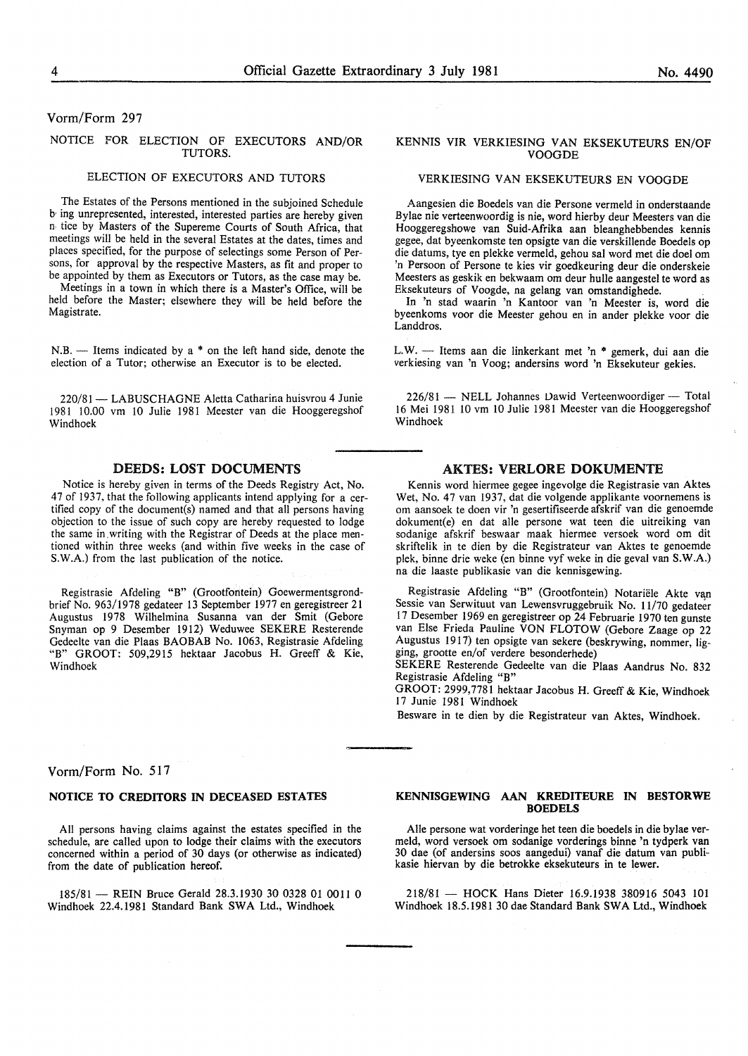#### Vorm/Form 297

#### NOTICE FOR ELECTION OF EXECUTORS AND/OR TUTORS.

#### ELECTION OF EXECUTORS AND TUTORS

The Estates of the Persons mentioned in the subjoined Schedule b, ing unrepresented, interested, interested parties are hereby given n, tice by Masters of the Supereme Courts of South Africa, that meetings will be held in the several Estates at the dates, times and places specified, for the purpose of selectings some Person of Persons, for approval by the respective Masters, as fit and proper to be appointed by them as Executors or Tutors, as the case may be.

Meetings in a town in which there is a Master's Office, will be held before the Master; elsewhere they will be held before the Magistrate.

 $N.B.$  - Items indicated by a  $*$  on the left hand side, denote the election of a Tutor; otherwise an Executor is to be elected.

220/81 - LABUSCHAGNE Aletta Catharina huisvrou 4 Junie 1981 10.00 vm lO Julie 1981 Meester van die Hooggeregshof Windhoek

#### DEEDS: LOST DOCUMENTS

Notice is hereby given in terms of the Deeds Registry Act, No. 47 of 1937, that the following applicants intend applying for a certified copy of the document(s) named and that all persons having objection to the issue of such copy are hereby requested to lodge the same in,writing with the Registrar of Deeds at the place mentioned within three weeks (and within five weeks in the case of S.W.A.) from the last publication of the notice.

Registrasie Afdeling "B" (Grootfontein) Goewermentsgrondbrief No. 963/1978 gedateer 13 September 1977 en geregistreer 21 Augustus 1978 Wilhelmina Susanna van der Smit (Gebore Snyman op 9 Desember 1912) Weduwee SEKERE Resterende Gedeelte van die Plaas BAOBAB No. 1063, Registrasie Afdeling "B" GROOT: 509,2915 hektaar Jacobus H. Greeff & Kie, Windhoek

#### Vorm/Form No. 517

#### NOTICE TO CREDITORS IN DECEASED ESTATES

All persons having claims against the estates specified in the schedule, are called upon to lodge their claims with the executors concerned within a period of 30 days (or otherwise as indicated) from the date of publication hereof.

185/81- REIN Bruce Gerald 28.3.1930 30 0328 01 0011 0 Windhoek 22.4.1981 Standard Bank SWA Ltd., Windhoek

#### KENNIS VIR VERKIESING VAN EKSEKUTEURS EN/OF VOOGDE

#### VERKIESING VAN EKSEKUTEURS EN VOOGDE

Aangesien die Boedels van die Persone vermeld in onderstaande Bylae nie verteenwoordig is nie, word hierby deur Meesters van die Hooggeregshowe van Suid-Afrika aan bleanghebbendes kennis gegee, dat byeenkomste ten opsigte van die verskillende Boedels op die datums, tye en plekke vermeld, gehou sal word met die doel om 'n Persoon of Persone te kies vir goedkeuring deur die onderskeie Meesters as geskik en bekwaam om deur hulle aangestel te word as Eksekuteurs of Voogde, na gelang van omstandighede.

In 'n stad waarin 'n Kantoor van 'n Meester is, word die byeenkoms voor die Meester gehou en in ander plekke voor die Landdros.

L.W. - Items aan die linkerkant met 'n \* gemerk, dui aan die verkiesing van 'n Voog; andersins word 'n Eksekuteur gekies.

 $226/81$  - NELL Johannes Dawid Verteenwoordiger- Total 16 Mei 1981 10 vm 10 Julie 1981 Meester van die Hooggeregshof Windhoek

#### AKTES: VERLORE DOKUMENTE

Kennis word hiermee gegee ingevolge die Registrasie van Aktes Wet, No. 47 van 1937, dat die volgende applikante voornemens is om aansoek te doen vir 'n gesertifiseerde afskrif van die genoemde dokument(e) en dat aile persone wat teen die uitreiking van sodanige afskrif beswaar maak hiermee versoek word om dit skriftelik in te dien by die Registrateur van Aktes te genoemde plek, binne drie weke (en binne vyf weke in die geval van S.W.A.) na die laaste publikasie van die kennisgewing.

Registrasie Afdeling "B" (Grootfontein) Notariële Akte van Sessie van Serwituut van Lewensvruggebruik No. 11/70 gedateer 17 Desember 1969 en geregistreer op 24 Februarie 1970 ten gunste van Else Frieda Pauline VON FLOTOW (Gebore Zaage op 22 Augustus 1917) ten opsigte van sekere (beskrywing, nommer, ligging, grootte en/of verdere besonderhede)

SEKERE Resterende Gedeelte van die Plaas Aandrus No. 832 Registrasie Afdeling "B"

GROOT: 2999,7781 hektaar Jacobus H. Greeff & Kie, Windhoek 17 Junie 1981 Windhoek

Besware in te dien by die Registrateur van Aktes, Windhoek.

#### KENNISGEWING AAN KREDITEURE IN BESTORWE BOEDELS

Aile persone wat vorderinge het teen die boedels in die bylae vermeld, word versoek om sodanige vorderings binne 'n tydperk van 30 dae (of andersins soos aangedui) vanaf die datum van publikasie hiervan by die betrokke eksekuteurs in te lewer.

218/81 - HOCK Hans Dieter 16.9.1938 380916 5043 101 Windhoek 18.5.1981 30 dae Standard Bank SWA Ltd., Windhoek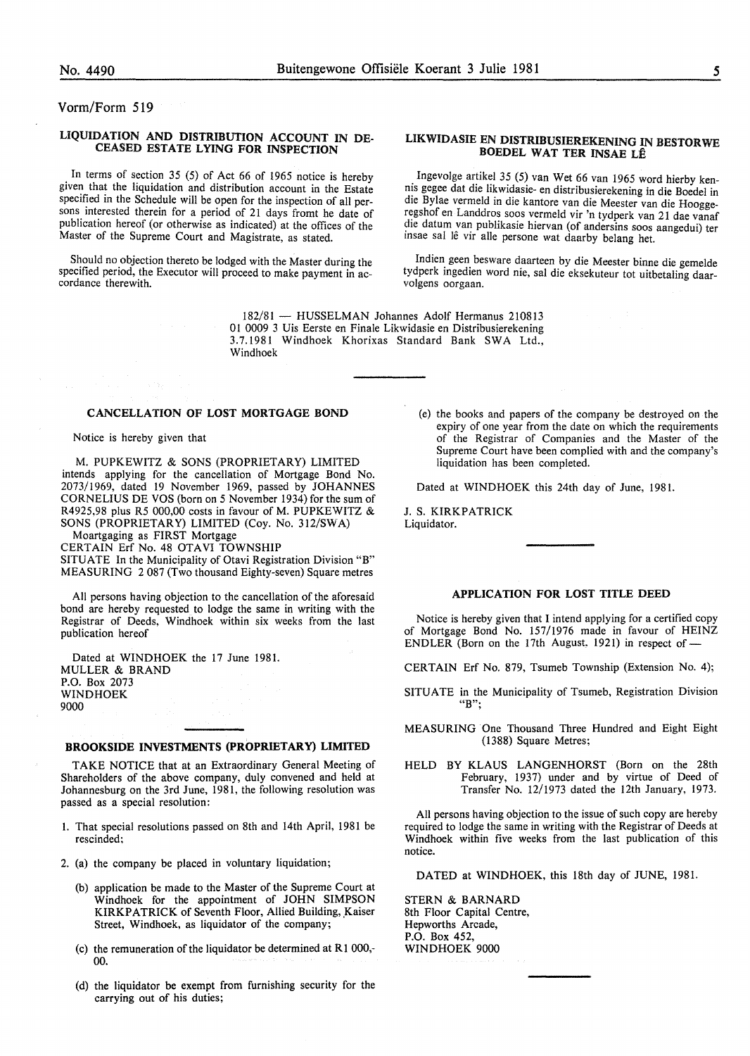Vorm/Form 519

#### LIQUIDATION AND DISTRIBUTION ACCOUNT IN DE-CEASED ESTATE LYING FOR INSPECTION

In terms of section 35 (5) of Act 66 of 1965 notice is hereby given that the liquidation and distribution account in the Estate specified in the Schedule will be open for the inspection of all persons interested therein for a period of 21 days fromt he date of publication hereof (or otherwise as indicated) at the offices of the Master of the Supreme Court and Magistrate, as stated.

Should no objection thereto be lodged with the Master during the specified period, the Executor will proceed to make payment in ac- cordance therewith.

> 182/81 - HUSSELMAN Johannes Adolf Hermanus 210813 0 I 0009 3 Uis Eerste en Finale Likwidasie en Distribusierekening 3.7.1981 Windhoek Khorixas Standard Bank SWA Ltd., Windhoek

#### CANCELLATION OF LOST MORTGAGE BOND

Notice is hereby given that

M. PUPKEWITZ & SONS (PROPRIETARY) LIMITED intends applying for the cancellation of Mortgage Bond No. 2073/1969, dated 19 November 1969, passed by JOHANNES CORNELIUS DE VOS (born on 5 November 1934) for the sum of R4925,98 plus R5 000,00 costs in favour of M. PUPKEWITZ & SONS (PROPRIETARY) LIMITED (Coy. No. 312/SWA)

Moartgaging as FIRST Mortgage

CERTAIN Erf No. 48 OTAVI TOWNSHIP SITUATE In the Municipality of Otavi Registration Division "B" MEASURING 2 087 (Two thousand Eighty-seven) Square metres

All persons having objection to the cancellation of the aforesaid bond are hereby requested to lodge the same in writing with the Registrar of Deeds, Windhoek within six weeks from the last publication hereof

Dated at WINDHOEK the 17 June 1981. MULLER & BRAND P.O. Box 2073 WINDHOEK 9000

#### BROOKSIDE INVESTMENTS (PROPRIETARY) LIMITED

TAKE NOTICE that at an Extraordinary General Meeting of Shareholders of the above company, duly convened and held at Johannesburg on the 3rd June, 1981, the following resolution was passed as a special resolution:

- 1. That special resolutions passed on 8th and 14th April, 1981 be rescinded;
- 2. (a) the company be placed in voluntary liquidation;
	- (b) application be made to the Master of the Supreme Court at Windhoek for the appointment of JOHN SIMPSON KIRKPATRICK of Seventh Floor, Allied Building, Kaiser Street, Windhoek, as liquidator of the company;
	- (c) the remuneration of the liquidator be determined at  $R1000$ ,-00.
	- (d) the liquidator be exempt from furnishing security for the carrying out of his duties;

#### LIKWIDASIE EN DISTRIBUSIEREKENING IN BESTORWE BOEDEL WAT TER INSAE LE

Ingevolge artikel 35 (5) van Wet 66 van 1965 word hierby kennis gegee dat die likwidasie- en distribusierekening in die Boedel in die Bylae vermeld in die kantore van die Meester van die Hooggeregshof en Landdros soos vermeld vir 'n tydperk van 21 dae vanaf die datum van publikasie hiervan (of andersins soos aangedui) ter insae sal lê vir alle persone wat daarby belang het.

Indien geen besware daarteen by die Meester binne die gemelde tydperk ingedien word nie, sal die eksekuteur tot uitbetaling daarvolgens oorgaan.

(e) the books and papers of the company be destroyed on the expiry of one year from the date on which the requirements of the Registrar of Companies and the Master of the Supreme Court have been complied with and the company's liquidation has been completed.

Dated at WINDHOEK this 24th day of June, 1981.

J. S. KIRKPATRICK Liquidator.

#### APPLICATION FOR LOST TITLE DEED

Notice is hereby given that I intend applying for a certified copy of Mortgage Bond No. 157/1976 made in favour of HEINZ ENDLER (Born on the 17th August, 1921) in respect of-

- CERTAIN Erf No. 879, Tsumeb Township (Extension No. 4);
- SITUATE in the Municipality of Tsumeb, Registration Division "B";
- MEASURING One Thousand Three Hundred and Eight Eight (1388) Square Metres;
- HELD BY KLAUS LANGENHORST (Born on the 28th February, 1937) under and by virtue of Deed of Transfer No. 12/1973 dated the 12th January, 1973.

All persons having objection to the issue of such copy are hereby required to lodge the same in writing with the Registrar of Deeds at Windhoek within five weeks from the last publication of this notice.

DATED at WINDHOEK, this 18th day of JUNE, 1981.

STERN & BARNARD 8th Floor Capital Centre, Hepworths Arcade, P.O. Box 452, WINDHOEK 9000